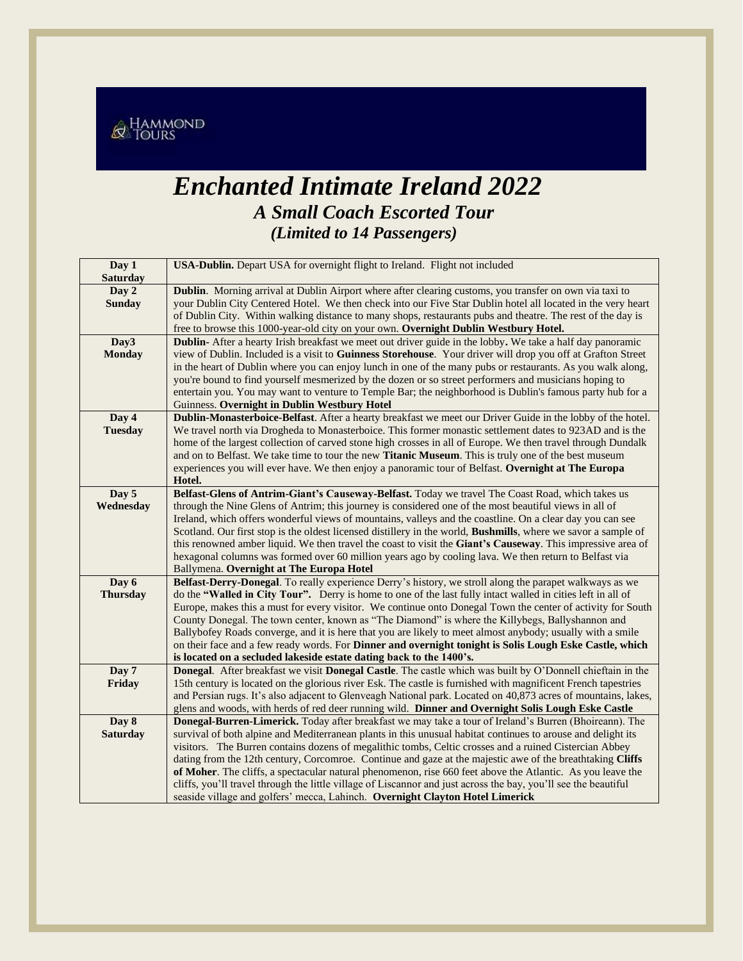

## *Enchanted Intimate Ireland 2022 A Small Coach Escorted Tour (Limited to 14 Passengers)*

| Day 1<br><b>Saturday</b> | USA-Dublin. Depart USA for overnight flight to Ireland. Flight not included                                                                                                       |  |  |  |
|--------------------------|-----------------------------------------------------------------------------------------------------------------------------------------------------------------------------------|--|--|--|
| Day 2                    | Dublin. Morning arrival at Dublin Airport where after clearing customs, you transfer on own via taxi to                                                                           |  |  |  |
| <b>Sunday</b>            | your Dublin City Centered Hotel. We then check into our Five Star Dublin hotel all located in the very heart                                                                      |  |  |  |
|                          | of Dublin City. Within walking distance to many shops, restaurants pubs and theatre. The rest of the day is                                                                       |  |  |  |
|                          | free to browse this 1000-year-old city on your own. Overnight Dublin Westbury Hotel.                                                                                              |  |  |  |
| Day3                     | Dublin-After a hearty Irish breakfast we meet out driver guide in the lobby. We take a half day panoramic                                                                         |  |  |  |
| <b>Monday</b>            | view of Dublin. Included is a visit to Guinness Storehouse. Your driver will drop you off at Grafton Street                                                                       |  |  |  |
|                          | in the heart of Dublin where you can enjoy lunch in one of the many pubs or restaurants. As you walk along,                                                                       |  |  |  |
|                          | you're bound to find yourself mesmerized by the dozen or so street performers and musicians hoping to                                                                             |  |  |  |
|                          | entertain you. You may want to venture to Temple Bar; the neighborhood is Dublin's famous party hub for a                                                                         |  |  |  |
|                          | Guinness. Overnight in Dublin Westbury Hotel                                                                                                                                      |  |  |  |
| Day 4                    | Dublin-Monasterboice-Belfast. After a hearty breakfast we meet our Driver Guide in the lobby of the hotel.                                                                        |  |  |  |
| <b>Tuesday</b>           | We travel north via Drogheda to Monasterboice. This former monastic settlement dates to 923AD and is the                                                                          |  |  |  |
|                          | home of the largest collection of carved stone high crosses in all of Europe. We then travel through Dundalk                                                                      |  |  |  |
|                          | and on to Belfast. We take time to tour the new <b>Titanic Museum</b> . This is truly one of the best museum                                                                      |  |  |  |
|                          | experiences you will ever have. We then enjoy a panoramic tour of Belfast. Overnight at The Europa<br>Hotel.                                                                      |  |  |  |
| Day 5                    | Belfast-Glens of Antrim-Giant's Causeway-Belfast. Today we travel The Coast Road, which takes us                                                                                  |  |  |  |
| Wednesday                | through the Nine Glens of Antrim; this journey is considered one of the most beautiful views in all of                                                                            |  |  |  |
|                          | Ireland, which offers wonderful views of mountains, valleys and the coastline. On a clear day you can see                                                                         |  |  |  |
|                          | Scotland. Our first stop is the oldest licensed distillery in the world, Bushmills, where we savor a sample of                                                                    |  |  |  |
|                          | this renowned amber liquid. We then travel the coast to visit the Giant's Causeway. This impressive area of                                                                       |  |  |  |
|                          | hexagonal columns was formed over 60 million years ago by cooling lava. We then return to Belfast via                                                                             |  |  |  |
|                          | Ballymena. Overnight at The Europa Hotel                                                                                                                                          |  |  |  |
| Day 6                    | Belfast-Derry-Donegal. To really experience Derry's history, we stroll along the parapet walkways as we                                                                           |  |  |  |
| <b>Thursday</b>          | do the "Walled in City Tour". Derry is home to one of the last fully intact walled in cities left in all of                                                                       |  |  |  |
|                          | Europe, makes this a must for every visitor. We continue onto Donegal Town the center of activity for South                                                                       |  |  |  |
|                          | County Donegal. The town center, known as "The Diamond" is where the Killybegs, Ballyshannon and                                                                                  |  |  |  |
|                          | Ballybofey Roads converge, and it is here that you are likely to meet almost anybody; usually with a smile                                                                        |  |  |  |
|                          | on their face and a few ready words. For Dinner and overnight tonight is Solis Lough Eske Castle, which                                                                           |  |  |  |
| Day 7                    | is located on a secluded lakeside estate dating back to the 1400's.<br>Donegal. After breakfast we visit Donegal Castle. The castle which was built by O'Donnell chieftain in the |  |  |  |
| Friday                   | 15th century is located on the glorious river Esk. The castle is furnished with magnificent French tapestries                                                                     |  |  |  |
|                          | and Persian rugs. It's also adjacent to Glenveagh National park. Located on 40,873 acres of mountains, lakes,                                                                     |  |  |  |
|                          | glens and woods, with herds of red deer running wild. Dinner and Overnight Solis Lough Eske Castle                                                                                |  |  |  |
| Day 8                    | Donegal-Burren-Limerick. Today after breakfast we may take a tour of Ireland's Burren (Bhoireann). The                                                                            |  |  |  |
| <b>Saturday</b>          | survival of both alpine and Mediterranean plants in this unusual habitat continues to arouse and delight its                                                                      |  |  |  |
|                          | visitors. The Burren contains dozens of megalithic tombs, Celtic crosses and a ruined Cistercian Abbey                                                                            |  |  |  |
|                          | dating from the 12th century, Corcomroe. Continue and gaze at the majestic awe of the breathtaking Cliffs                                                                         |  |  |  |
|                          | of Moher. The cliffs, a spectacular natural phenomenon, rise 660 feet above the Atlantic. As you leave the                                                                        |  |  |  |
|                          | cliffs, you'll travel through the little village of Liscannor and just across the bay, you'll see the beautiful                                                                   |  |  |  |
|                          | seaside village and golfers' mecca, Lahinch. Overnight Clayton Hotel Limerick                                                                                                     |  |  |  |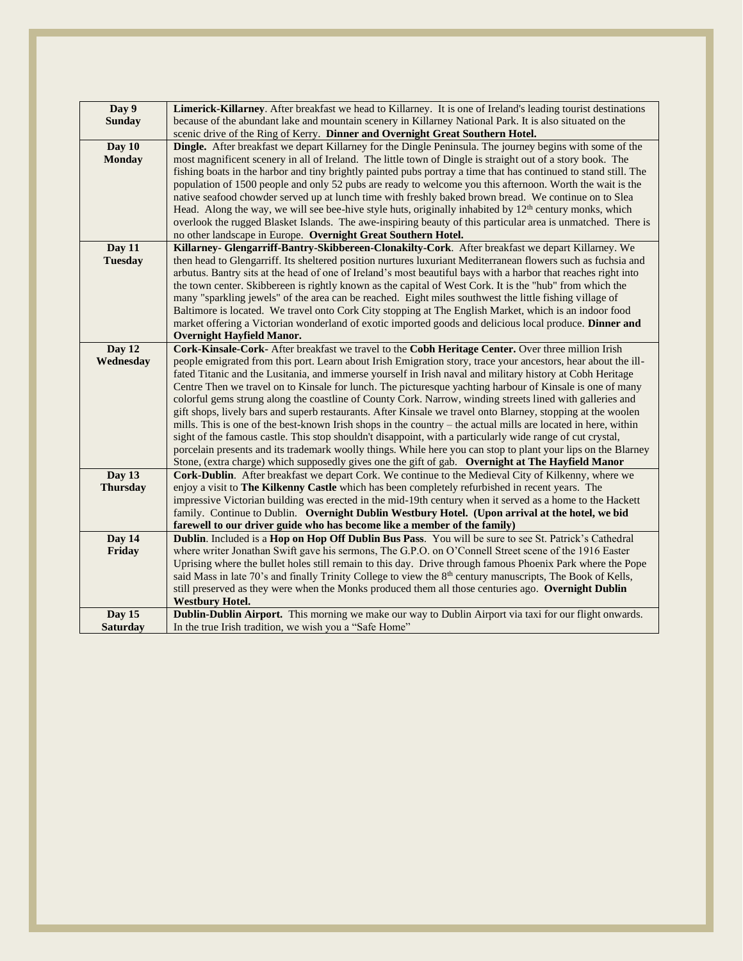| Day 9<br><b>Sunday</b>  | Limerick-Killarney. After breakfast we head to Killarney. It is one of Ireland's leading tourist destinations<br>because of the abundant lake and mountain scenery in Killarney National Park. It is also situated on the      |  |  |  |
|-------------------------|--------------------------------------------------------------------------------------------------------------------------------------------------------------------------------------------------------------------------------|--|--|--|
|                         | scenic drive of the Ring of Kerry. Dinner and Overnight Great Southern Hotel.                                                                                                                                                  |  |  |  |
| Day 10<br><b>Monday</b> | <b>Dingle.</b> After breakfast we depart Killarney for the Dingle Peninsula. The journey begins with some of the<br>most magnificent scenery in all of Ireland. The little town of Dingle is straight out of a story book. The |  |  |  |
|                         | fishing boats in the harbor and tiny brightly painted pubs portray a time that has continued to stand still. The<br>population of 1500 people and only 52 pubs are ready to welcome you this afternoon. Worth the wait is the  |  |  |  |
|                         | native seafood chowder served up at lunch time with freshly baked brown bread. We continue on to Slea<br>Head. Along the way, we will see bee-hive style huts, originally inhabited by $12th$ century monks, which             |  |  |  |
|                         | overlook the rugged Blasket Islands. The awe-inspiring beauty of this particular area is unmatched. There is<br>no other landscape in Europe. Overnight Great Southern Hotel.                                                  |  |  |  |
| Day 11                  | Killarney- Glengarriff-Bantry-Skibbereen-Clonakilty-Cork. After breakfast we depart Killarney. We                                                                                                                              |  |  |  |
| <b>Tuesday</b>          | then head to Glengarriff. Its sheltered position nurtures luxuriant Mediterranean flowers such as fuchsia and                                                                                                                  |  |  |  |
|                         | arbutus. Bantry sits at the head of one of Ireland's most beautiful bays with a harbor that reaches right into                                                                                                                 |  |  |  |
|                         | the town center. Skibbereen is rightly known as the capital of West Cork. It is the "hub" from which the                                                                                                                       |  |  |  |
|                         | many "sparkling jewels" of the area can be reached. Eight miles southwest the little fishing village of                                                                                                                        |  |  |  |
|                         | Baltimore is located. We travel onto Cork City stopping at The English Market, which is an indoor food                                                                                                                         |  |  |  |
|                         | market offering a Victorian wonderland of exotic imported goods and delicious local produce. Dinner and                                                                                                                        |  |  |  |
|                         | <b>Overnight Hayfield Manor.</b>                                                                                                                                                                                               |  |  |  |
| Day 12                  | Cork-Kinsale-Cork- After breakfast we travel to the Cobh Heritage Center. Over three million Irish                                                                                                                             |  |  |  |
| Wednesday               | people emigrated from this port. Learn about Irish Emigration story, trace your ancestors, hear about the ill-                                                                                                                 |  |  |  |
|                         | fated Titanic and the Lusitania, and immerse yourself in Irish naval and military history at Cobh Heritage                                                                                                                     |  |  |  |
|                         | Centre Then we travel on to Kinsale for lunch. The picturesque yachting harbour of Kinsale is one of many                                                                                                                      |  |  |  |
|                         | colorful gems strung along the coastline of County Cork. Narrow, winding streets lined with galleries and                                                                                                                      |  |  |  |
|                         | gift shops, lively bars and superb restaurants. After Kinsale we travel onto Blarney, stopping at the woolen                                                                                                                   |  |  |  |
|                         | mills. This is one of the best-known Irish shops in the country – the actual mills are located in here, within                                                                                                                 |  |  |  |
|                         | sight of the famous castle. This stop shouldn't disappoint, with a particularly wide range of cut crystal,                                                                                                                     |  |  |  |
|                         | porcelain presents and its trademark woolly things. While here you can stop to plant your lips on the Blarney                                                                                                                  |  |  |  |
|                         | Stone, (extra charge) which supposedly gives one the gift of gab. Overnight at The Hayfield Manor                                                                                                                              |  |  |  |
| Day 13                  | Cork-Dublin. After breakfast we depart Cork. We continue to the Medieval City of Kilkenny, where we                                                                                                                            |  |  |  |
| <b>Thursday</b>         | enjoy a visit to The Kilkenny Castle which has been completely refurbished in recent years. The                                                                                                                                |  |  |  |
|                         | impressive Victorian building was erected in the mid-19th century when it served as a home to the Hackett                                                                                                                      |  |  |  |
|                         | family. Continue to Dublin. Overnight Dublin Westbury Hotel. (Upon arrival at the hotel, we bid                                                                                                                                |  |  |  |
|                         | farewell to our driver guide who has become like a member of the family)                                                                                                                                                       |  |  |  |
| Day 14                  | Dublin. Included is a Hop on Hop Off Dublin Bus Pass. You will be sure to see St. Patrick's Cathedral                                                                                                                          |  |  |  |
| Friday                  | where writer Jonathan Swift gave his sermons, The G.P.O. on O'Connell Street scene of the 1916 Easter                                                                                                                          |  |  |  |
|                         | Uprising where the bullet holes still remain to this day. Drive through famous Phoenix Park where the Pope                                                                                                                     |  |  |  |
|                         | said Mass in late 70's and finally Trinity College to view the 8 <sup>th</sup> century manuscripts, The Book of Kells,                                                                                                         |  |  |  |
|                         | still preserved as they were when the Monks produced them all those centuries ago. Overnight Dublin                                                                                                                            |  |  |  |
|                         | <b>Westbury Hotel.</b>                                                                                                                                                                                                         |  |  |  |
| Day 15                  | Dublin-Dublin Airport. This morning we make our way to Dublin Airport via taxi for our flight onwards.                                                                                                                         |  |  |  |
| <b>Saturday</b>         | In the true Irish tradition, we wish you a "Safe Home"                                                                                                                                                                         |  |  |  |
|                         |                                                                                                                                                                                                                                |  |  |  |